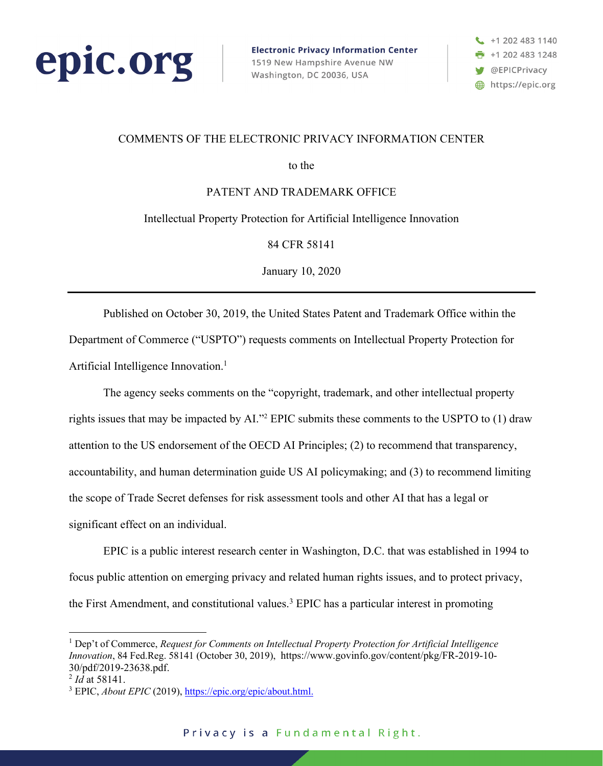

**Electronic Privacy Information Center** 1519 New Hampshire Avenue NW Washington, DC 20036, USA



### COMMENTS OF THE ELECTRONIC PRIVACY INFORMATION CENTER

to the

PATENT AND TRADEMARK OFFICE

Intellectual Property Protection for Artificial Intelligence Innovation

84 CFR 58141

January 10, 2020

Published on October 30, 2019, the United States Patent and Trademark Office within the Department of Commerce ("USPTO") requests comments on Intellectual Property Protection for Artificial Intelligence Innovation. 1

The agency seeks comments on the "copyright, trademark, and other intellectual property rights issues that may be impacted by AI."2 EPIC submits these comments to the USPTO to (1) draw attention to the US endorsement of the OECD AI Principles; (2) to recommend that transparency, accountability, and human determination guide US AI policymaking; and (3) to recommend limiting the scope of Trade Secret defenses for risk assessment tools and other AI that has a legal or significant effect on an individual.

EPIC is a public interest research center in Washington, D.C. that was established in 1994 to focus public attention on emerging privacy and related human rights issues, and to protect privacy, the First Amendment, and constitutional values.<sup>3</sup> EPIC has a particular interest in promoting

<sup>1</sup> Dep't of Commerce, *Request for Comments on Intellectual Property Protection for Artificial Intelligence Innovation*, 84 Fed.Reg. 58141 (October 30, 2019), https://www.govinfo.gov/content/pkg/FR-2019-10- 30/pdf/2019-23638.pdf.

 $^{2}$  *Id* at 58141.

<sup>3</sup> EPIC, *About EPIC* (2019), https://epic.org/epic/about.html.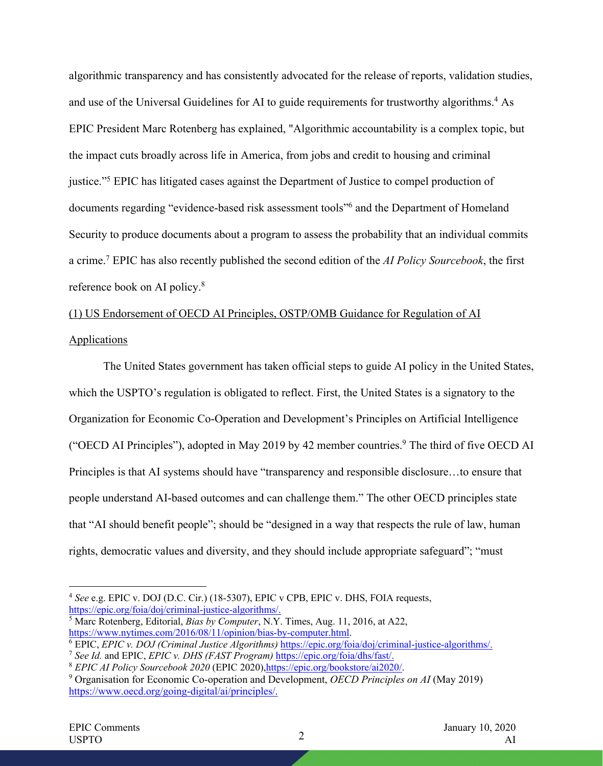algorithmic transparency and has consistently advocated for the release of reports, validation studies, and use of the Universal Guidelines for AI to guide requirements for trustworthy algorithms.<sup>4</sup> As EPIC President Marc Rotenberg has explained, "Algorithmic accountability is a complex topic, but the impact cuts broadly across life in America, from jobs and credit to housing and criminal justice."<sup>5</sup> EPIC has litigated cases against the Department of Justice to compel production of documents regarding "evidence-based risk assessment tools"6 and the Department of Homeland Security to produce documents about a program to assess the probability that an individual commits a crime.7 EPIC has also recently published the second edition of the *AI Policy Sourcebook*, the first reference book on AI policy.8

# (1) US Endorsement of OECD AI Principles, OSTP/OMB Guidance for Regulation of AI **Applications**

The United States government has taken official steps to guide AI policy in the United States, which the USPTO's regulation is obligated to reflect. First, the United States is a signatory to the Organization for Economic Co-Operation and Development's Principles on Artificial Intelligence ("OECD AI Principles"), adopted in May 2019 by 42 member countries.9 The third of five OECD AI Principles is that AI systems should have "transparency and responsible disclosure…to ensure that people understand AI-based outcomes and can challenge them." The other OECD principles state that "AI should benefit people"; should be "designed in a way that respects the rule of law, human rights, democratic values and diversity, and they should include appropriate safeguard"; "must

<sup>&</sup>lt;sup>4</sup> *See* e.g. EPIC v. DOJ (D.C. Cir.) (18-5307), EPIC v CPB, EPIC v. DHS, FOIA requests, https://epic.org/foia/doj/criminal-justice-algorithms/.

<sup>&</sup>lt;sup>5</sup> Marc Rotenberg, Editorial, *Bias by Computer*, N.Y. Times, Aug. 11, 2016, at A22, https://www.nytimes.com/2016/08/11/opinion/bias-by-computer.html.

 $\frac{6}{10}$  EPIC, *EPIC v. DOJ (Criminal Justice Algorithms)* https://epic.org/foia/doj/criminal-justice-algorithms/. <sup>7</sup> See Id. and EPIC, *EPIC v. DHS (FAST Program)* https://epic.org/foia/dhs/fast/.

<sup>&</sup>lt;sup>8</sup> *EPIC AI Policy Sourcebook 2020* (EPIC 2020), *https://epic.org/bookstore/ai2020/*<br><sup>9</sup> Organisation for Economic Co-operation and Development, *OECD Principles on AI* (May 2019)

https://www.oecd.org/going-digital/ai/principles/.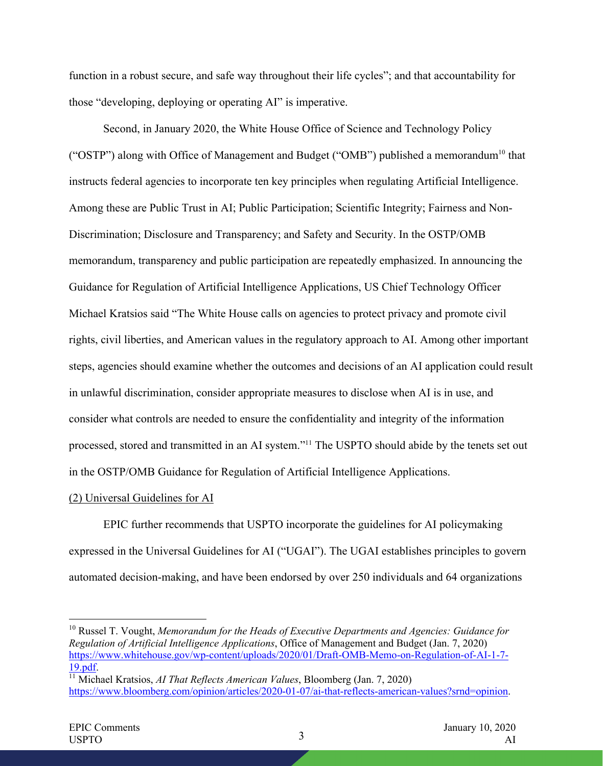function in a robust secure, and safe way throughout their life cycles"; and that accountability for those "developing, deploying or operating AI" is imperative.

Second, in January 2020, the White House Office of Science and Technology Policy ("OSTP") along with Office of Management and Budget ("OMB") published a memorandum<sup>10</sup> that instructs federal agencies to incorporate ten key principles when regulating Artificial Intelligence. Among these are Public Trust in AI; Public Participation; Scientific Integrity; Fairness and Non-Discrimination; Disclosure and Transparency; and Safety and Security. In the OSTP/OMB memorandum, transparency and public participation are repeatedly emphasized. In announcing the Guidance for Regulation of Artificial Intelligence Applications, US Chief Technology Officer Michael Kratsios said "The White House calls on agencies to protect privacy and promote civil rights, civil liberties, and American values in the regulatory approach to AI. Among other important steps, agencies should examine whether the outcomes and decisions of an AI application could result in unlawful discrimination, consider appropriate measures to disclose when AI is in use, and consider what controls are needed to ensure the confidentiality and integrity of the information processed, stored and transmitted in an AI system."<sup>11</sup> The USPTO should abide by the tenets set out in the OSTP/OMB Guidance for Regulation of Artificial Intelligence Applications.

#### (2) Universal Guidelines for AI

EPIC further recommends that USPTO incorporate the guidelines for AI policymaking expressed in the Universal Guidelines for AI ("UGAI"). The UGAI establishes principles to govern automated decision-making, and have been endorsed by over 250 individuals and 64 organizations

<sup>10</sup> Russel T. Vought, *Memorandum for the Heads of Executive Departments and Agencies: Guidance for Regulation of Artificial Intelligence Applications*, Office of Management and Budget (Jan. 7, 2020) https://www.whitehouse.gov/wp-content/uploads/2020/01/Draft-OMB-Memo-on-Regulation-of-AI-1-7- 19.pdf.

<sup>&</sup>lt;sup>11</sup> Michael Kratsios, *AI That Reflects American Values*, Bloomberg (Jan. 7, 2020) https://www.bloomberg.com/opinion/articles/2020-01-07/ai-that-reflects-american-values?srnd=opinion.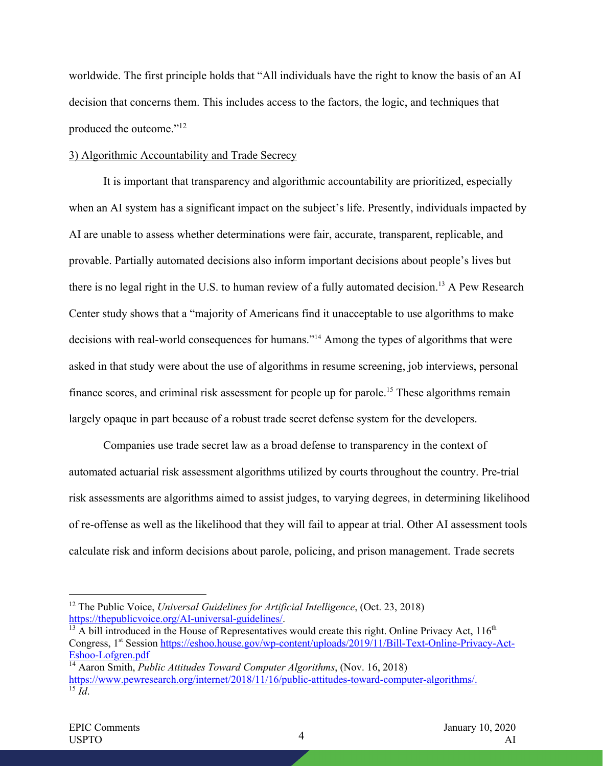worldwide. The first principle holds that "All individuals have the right to know the basis of an AI decision that concerns them. This includes access to the factors, the logic, and techniques that produced the outcome."12

#### 3) Algorithmic Accountability and Trade Secrecy

It is important that transparency and algorithmic accountability are prioritized, especially when an AI system has a significant impact on the subject's life. Presently, individuals impacted by AI are unable to assess whether determinations were fair, accurate, transparent, replicable, and provable. Partially automated decisions also inform important decisions about people's lives but there is no legal right in the U.S. to human review of a fully automated decision.<sup>13</sup> A Pew Research Center study shows that a "majority of Americans find it unacceptable to use algorithms to make decisions with real-world consequences for humans."<sup>14</sup> Among the types of algorithms that were asked in that study were about the use of algorithms in resume screening, job interviews, personal finance scores, and criminal risk assessment for people up for parole.<sup>15</sup> These algorithms remain largely opaque in part because of a robust trade secret defense system for the developers.

Companies use trade secret law as a broad defense to transparency in the context of automated actuarial risk assessment algorithms utilized by courts throughout the country. Pre-trial risk assessments are algorithms aimed to assist judges, to varying degrees, in determining likelihood of re-offense as well as the likelihood that they will fail to appear at trial. Other AI assessment tools calculate risk and inform decisions about parole, policing, and prison management. Trade secrets

<sup>12</sup> The Public Voice, *Universal Guidelines for Artificial Intelligence*, (Oct. 23, 2018) https://thepublicvoice.org/AI-universal-guidelines/.

 $13$  A bill introduced in the House of Representatives would create this right. Online Privacy Act,  $116<sup>th</sup>$ Congress, 1<sup>st</sup> Session https://eshoo.house.gov/wp-content/uploads/2019/11/Bill-Text-Online-Privacy-Act-Eshoo-Lofgren.pdf

<sup>14</sup> Aaron Smith, *Public Attitudes Toward Computer Algorithms*, (Nov. 16, 2018) https://www.pewresearch.org/internet/2018/11/16/public-attitudes-toward-computer-algorithms/.  $\overline{^{15}$  *Id.*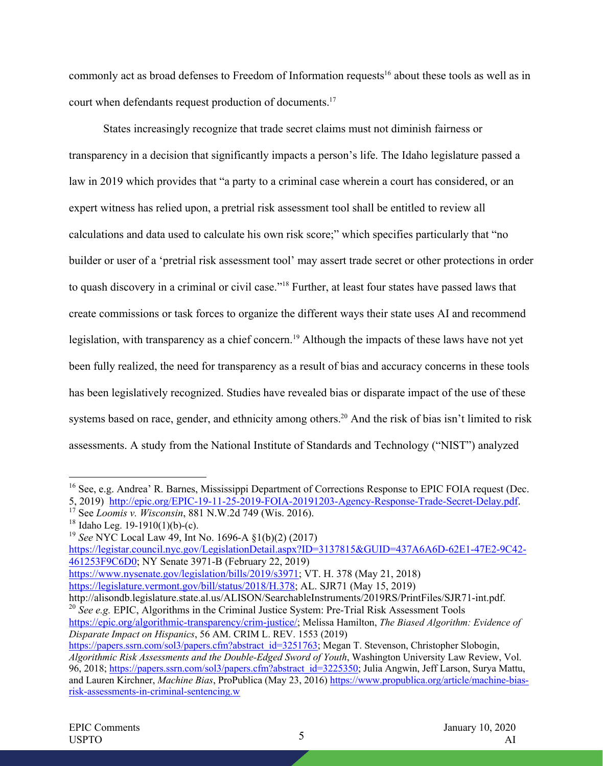commonly act as broad defenses to Freedom of Information requests<sup>16</sup> about these tools as well as in court when defendants request production of documents.<sup>17</sup>

States increasingly recognize that trade secret claims must not diminish fairness or transparency in a decision that significantly impacts a person's life. The Idaho legislature passed a law in 2019 which provides that "a party to a criminal case wherein a court has considered, or an expert witness has relied upon, a pretrial risk assessment tool shall be entitled to review all calculations and data used to calculate his own risk score;" which specifies particularly that "no builder or user of a 'pretrial risk assessment tool' may assert trade secret or other protections in order to quash discovery in a criminal or civil case."18 Further, at least four states have passed laws that create commissions or task forces to organize the different ways their state uses AI and recommend legislation, with transparency as a chief concern.<sup>19</sup> Although the impacts of these laws have not yet been fully realized, the need for transparency as a result of bias and accuracy concerns in these tools has been legislatively recognized. Studies have revealed bias or disparate impact of the use of these systems based on race, gender, and ethnicity among others.<sup>20</sup> And the risk of bias isn't limited to risk assessments. A study from the National Institute of Standards and Technology ("NIST") analyzed

<sup>19</sup> See NYC Local Law 49, Int No. 1696-A §1(b)(2) (2017) https://legistar.council.nyc.gov/LegislationDetail.aspx?ID=3137815&GUID=437A6A6D-62E1-47E2-9C42- 461253F9C6D0; NY Senate 3971-B (February 22, 2019)

https://www.nysenate.gov/legislation/bills/2019/s3971; VT. H. 378 (May 21, 2018) https://legislature.vermont.gov/bill/status/2018/H.378; AL. SJR71 (May 15, 2019)

http://alisondb.legislature.state.al.us/ALISON/SearchableInstruments/2019RS/PrintFiles/SJR71-int.pdf. <sup>20</sup> See e.g. EPIC, Algorithms in the Criminal Justice System: Pre-Trial Risk Assessment Tools https://epic.org/algorithmic-transparency/crim-justice/; Melissa Hamilton, *The Biased Algorithm: Evidence of Disparate Impact on Hispanics*, 56 AM. CRIM L. REV. 1553 (2019)

<sup>&</sup>lt;sup>16</sup> See, e.g. Andrea' R. Barnes, Mississippi Department of Corrections Response to EPIC FOIA request (Dec. 5, 2019) http://epic.org/EPIC-19-11-25-2019-FOIA-20191203-Agency-Response-Trade-Secret-Delay.pdf. 17 See *Loomis v. Wisconsin*, 881 N.W.2d 749 (Wis. 2016).

https://papers.ssrn.com/sol3/papers.cfm?abstract\_id=3251763; Megan T. Stevenson, Christopher Slobogin, *Algorithmic Risk Assessments and the Double-Edged Sword of Youth*, Washington University Law Review, Vol. 96, 2018; https://papers.ssrn.com/sol3/papers.cfm?abstract\_id=3225350; Julia Angwin, Jeff Larson, Surya Mattu, and Lauren Kirchner, *Machine Bias*, ProPublica (May 23, 2016) https://www.propublica.org/article/machine-biasrisk-assessments-in-criminal-sentencing.w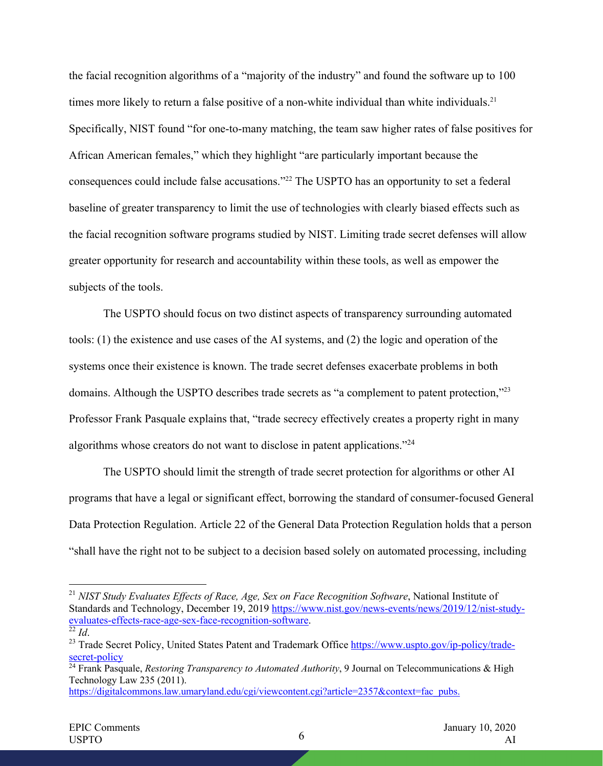the facial recognition algorithms of a "majority of the industry" and found the software up to 100 times more likely to return a false positive of a non-white individual than white individuals.<sup>21</sup> Specifically, NIST found "for one-to-many matching, the team saw higher rates of false positives for African American females," which they highlight "are particularly important because the consequences could include false accusations."22 The USPTO has an opportunity to set a federal baseline of greater transparency to limit the use of technologies with clearly biased effects such as the facial recognition software programs studied by NIST. Limiting trade secret defenses will allow greater opportunity for research and accountability within these tools, as well as empower the subjects of the tools.

The USPTO should focus on two distinct aspects of transparency surrounding automated tools: (1) the existence and use cases of the AI systems, and (2) the logic and operation of the systems once their existence is known. The trade secret defenses exacerbate problems in both domains. Although the USPTO describes trade secrets as "a complement to patent protection,"<sup>23</sup> Professor Frank Pasquale explains that, "trade secrecy effectively creates a property right in many algorithms whose creators do not want to disclose in patent applications."24

The USPTO should limit the strength of trade secret protection for algorithms or other AI programs that have a legal or significant effect, borrowing the standard of consumer-focused General Data Protection Regulation. Article 22 of the General Data Protection Regulation holds that a person "shall have the right not to be subject to a decision based solely on automated processing, including

<sup>21</sup> *NIST Study Evaluates Effects of Race, Age, Sex on Face Recognition Software*, National Institute of Standards and Technology, December 19, 2019 https://www.nist.gov/news-events/news/2019/12/nist-studyevaluates-effects-race-age-sex-face-recognition-software.<br><sup>22</sup> *Id*. 23 Trade Secret Policy, United States Patent and Trademark Office https://www.uspto.gov/ip-policy/trade-

secret-policy

<sup>&</sup>lt;sup>24</sup> Frank Pasquale, *Restoring Transparency to Automated Authority*, 9 Journal on Telecommunications & High Technology Law 235 (2011).

https://digitalcommons.law.umaryland.edu/cgi/viewcontent.cgi?article=2357&context=fac\_pubs.